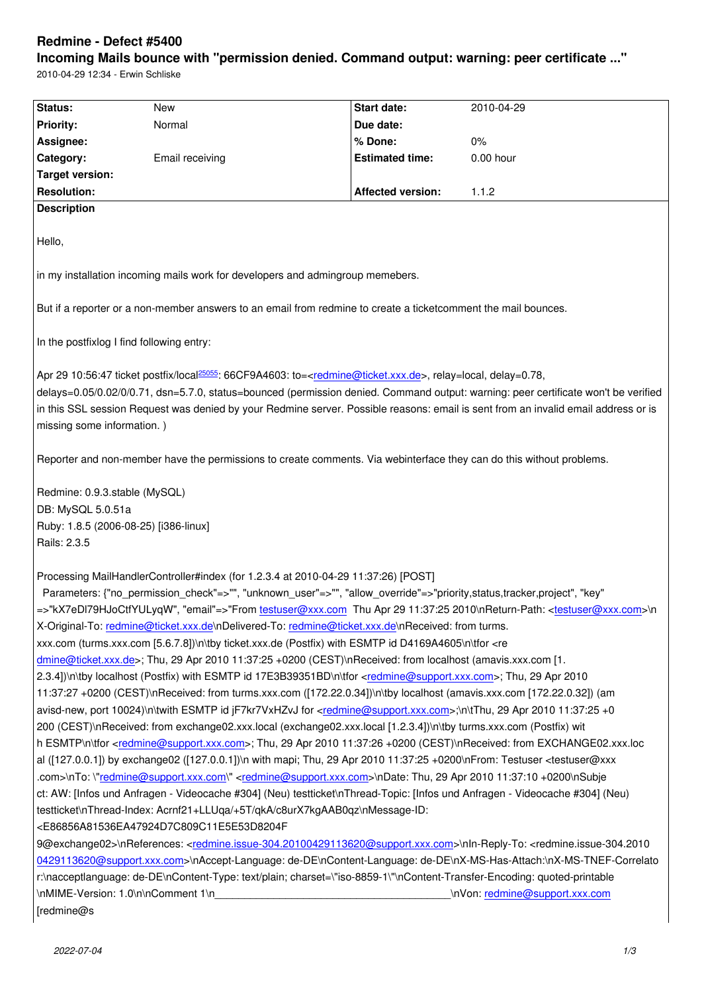#### **Incoming Mails bounce with "permission denied. Command output: warning: peer certificate ..."**

2010-04-29 12:34 - Erwin Schliske

| Status:                                                                                                                                                                                                  | <b>New</b>                                                                                                                                        | Start date:              | 2010-04-29                                                                                                                         |  |
|----------------------------------------------------------------------------------------------------------------------------------------------------------------------------------------------------------|---------------------------------------------------------------------------------------------------------------------------------------------------|--------------------------|------------------------------------------------------------------------------------------------------------------------------------|--|
| <b>Priority:</b>                                                                                                                                                                                         | Normal                                                                                                                                            | Due date:                |                                                                                                                                    |  |
| Assignee:                                                                                                                                                                                                |                                                                                                                                                   | % Done:                  | 0%                                                                                                                                 |  |
| Category:                                                                                                                                                                                                | Email receiving                                                                                                                                   | <b>Estimated time:</b>   | 0.00 hour                                                                                                                          |  |
| <b>Target version:</b>                                                                                                                                                                                   |                                                                                                                                                   |                          |                                                                                                                                    |  |
| <b>Resolution:</b>                                                                                                                                                                                       |                                                                                                                                                   | <b>Affected version:</b> | 1.1.2                                                                                                                              |  |
| <b>Description</b>                                                                                                                                                                                       |                                                                                                                                                   |                          |                                                                                                                                    |  |
|                                                                                                                                                                                                          |                                                                                                                                                   |                          |                                                                                                                                    |  |
| Hello,                                                                                                                                                                                                   |                                                                                                                                                   |                          |                                                                                                                                    |  |
|                                                                                                                                                                                                          |                                                                                                                                                   |                          |                                                                                                                                    |  |
| in my installation incoming mails work for developers and admingroup memebers.                                                                                                                           |                                                                                                                                                   |                          |                                                                                                                                    |  |
|                                                                                                                                                                                                          |                                                                                                                                                   |                          |                                                                                                                                    |  |
| But if a reporter or a non-member answers to an email from redmine to create a ticketcomment the mail bounces.                                                                                           |                                                                                                                                                   |                          |                                                                                                                                    |  |
|                                                                                                                                                                                                          |                                                                                                                                                   |                          |                                                                                                                                    |  |
| In the postfixlog I find following entry:                                                                                                                                                                |                                                                                                                                                   |                          |                                                                                                                                    |  |
|                                                                                                                                                                                                          |                                                                                                                                                   |                          |                                                                                                                                    |  |
|                                                                                                                                                                                                          | Apr 29 10:56:47 ticket postfix/local <sup>25055</sup> : 66CF9A4603: to= <redmine@ticket.xxx.de>, relay=local, delay=0.78,</redmine@ticket.xxx.de> |                          |                                                                                                                                    |  |
|                                                                                                                                                                                                          |                                                                                                                                                   |                          | delays=0.05/0.02/0/0.71, dsn=5.7.0, status=bounced (permission denied. Command output: warning: peer certificate won't be verified |  |
| in this SSL session Request was denied by your Redmine server. Possible reasons: email is sent from an invalid email address or is                                                                       |                                                                                                                                                   |                          |                                                                                                                                    |  |
| missing some information.)                                                                                                                                                                               |                                                                                                                                                   |                          |                                                                                                                                    |  |
|                                                                                                                                                                                                          |                                                                                                                                                   |                          |                                                                                                                                    |  |
| Reporter and non-member have the permissions to create comments. Via webinterface they can do this without problems.                                                                                     |                                                                                                                                                   |                          |                                                                                                                                    |  |
|                                                                                                                                                                                                          |                                                                                                                                                   |                          |                                                                                                                                    |  |
| Redmine: 0.9.3.stable (MySQL)                                                                                                                                                                            |                                                                                                                                                   |                          |                                                                                                                                    |  |
| DB: MySQL 5.0.51a                                                                                                                                                                                        |                                                                                                                                                   |                          |                                                                                                                                    |  |
| Ruby: 1.8.5 (2006-08-25) [i386-linux]                                                                                                                                                                    |                                                                                                                                                   |                          |                                                                                                                                    |  |
| Rails: 2.3.5                                                                                                                                                                                             |                                                                                                                                                   |                          |                                                                                                                                    |  |
|                                                                                                                                                                                                          |                                                                                                                                                   |                          |                                                                                                                                    |  |
|                                                                                                                                                                                                          | Processing MailHandlerController#index (for 1.2.3.4 at 2010-04-29 11:37:26) [POST]                                                                |                          |                                                                                                                                    |  |
|                                                                                                                                                                                                          | Parameters: {"no permission check"=>"", "unknown user"=>"", "allow override"=>"priority,status,tracker,project", "key"                            |                          |                                                                                                                                    |  |
|                                                                                                                                                                                                          | =>"kX7eDI79HJoCtfYULyqW", "email"=>"From testuser@xxx.com Thu Apr 29 11:37:25 2010\nReturn-Path: <testuser@xxx.com>\n</testuser@xxx.com>          |                          |                                                                                                                                    |  |
|                                                                                                                                                                                                          |                                                                                                                                                   |                          |                                                                                                                                    |  |
| X-Original-To: redmine@ticket.xxx.de\nDelivered-To: redmine@ticket.xxx.de\nReceived: from turms.                                                                                                         |                                                                                                                                                   |                          |                                                                                                                                    |  |
| xxx.com (turms.xxx.com [5.6.7.8])\n\tby ticket.xxx.de (Postfix) with ESMTP id D4169A4605\n\tfor <re< td=""></re<>                                                                                        |                                                                                                                                                   |                          |                                                                                                                                    |  |
| dmine@ticket.xxx.de>; Thu, 29 Apr 2010 11:37:25 +0200 (CEST)\nReceived: from localhost (amavis.xxx.com [1.                                                                                               |                                                                                                                                                   |                          |                                                                                                                                    |  |
| 2.3.4])\n\tby localhost (Postfix) with ESMTP id 17E3B39351BD\n\tfor <redmine@support.xxx.com>; Thu, 29 Apr 2010</redmine@support.xxx.com>                                                                |                                                                                                                                                   |                          |                                                                                                                                    |  |
| 11:37:27 +0200 (CEST)\nReceived: from turms.xxx.com ([172.22.0.34])\n\tby localhost (amavis.xxx.com [172.22.0.32]) (am                                                                                   |                                                                                                                                                   |                          |                                                                                                                                    |  |
| avisd-new, port 10024)\n\twith ESMTP id jF7kr7VxHZvJ for <redmine@support.xxx.com>;\n\tThu, 29 Apr 2010 11:37:25 +0</redmine@support.xxx.com>                                                            |                                                                                                                                                   |                          |                                                                                                                                    |  |
| 200 (CEST)\nReceived: from exchange02.xxx.local (exchange02.xxx.local [1.2.3.4])\n\tby turms.xxx.com (Postfix) wit                                                                                       |                                                                                                                                                   |                          |                                                                                                                                    |  |
| h ESMTP\n\tfor <redmine@support.xxx.com>; Thu, 29 Apr 2010 11:37:26 +0200 (CEST)\nReceived: from EXCHANGE02.xxx.loc</redmine@support.xxx.com>                                                            |                                                                                                                                                   |                          |                                                                                                                                    |  |
| al ([127.0.0.1]) by exchange02 ([127.0.0.1])\n with mapi; Thu, 29 Apr 2010 11:37:25 +0200\nFrom: Testuser <testuser@xxx< td=""></testuser@xxx<>                                                          |                                                                                                                                                   |                          |                                                                                                                                    |  |
| .com>\nTo:\"redmine@support.xxx.com\" <redmine@support.xxx.com>\nDate: Thu, 29 Apr 2010 11:37:10 +0200\nSubje</redmine@support.xxx.com>                                                                  |                                                                                                                                                   |                          |                                                                                                                                    |  |
| ct: AW: [Infos und Anfragen - Videocache #304] (Neu) testticket\nThread-Topic: [Infos und Anfragen - Videocache #304] (Neu)                                                                              |                                                                                                                                                   |                          |                                                                                                                                    |  |
| testticket\nThread-Index: Acrnf21+LLUqa/+5T/qkA/c8urX7kgAAB0qz\nMessage-ID:                                                                                                                              |                                                                                                                                                   |                          |                                                                                                                                    |  |
| <e86856a81536ea47924d7c809c11e5e53d8204f< td=""></e86856a81536ea47924d7c809c11e5e53d8204f<>                                                                                                              |                                                                                                                                                   |                          |                                                                                                                                    |  |
| 9@exchange02>\nReferences: <redmine.issue-304.20100429113620@support.xxx.com>\nln-Reply-To: <redmine.issue-304.2010< td=""></redmine.issue-304.2010<></redmine.issue-304.20100429113620@support.xxx.com> |                                                                                                                                                   |                          |                                                                                                                                    |  |
| 0429113620@support.xxx.com>\nAccept-Language: de-DE\nContent-Language: de-DE\nX-MS-Has-Attach:\nX-MS-TNEF-Correlato                                                                                      |                                                                                                                                                   |                          |                                                                                                                                    |  |
| r:\nacceptlanguage: de-DE\nContent-Type: text/plain; charset=\"iso-8859-1\"\nContent-Transfer-Encoding: quoted-printable                                                                                 |                                                                                                                                                   |                          |                                                                                                                                    |  |
|                                                                                                                                                                                                          |                                                                                                                                                   |                          | \nVon: redmine@support.xxx.com                                                                                                     |  |
| [redmine@s                                                                                                                                                                                               |                                                                                                                                                   |                          |                                                                                                                                    |  |
|                                                                                                                                                                                                          |                                                                                                                                                   |                          |                                                                                                                                    |  |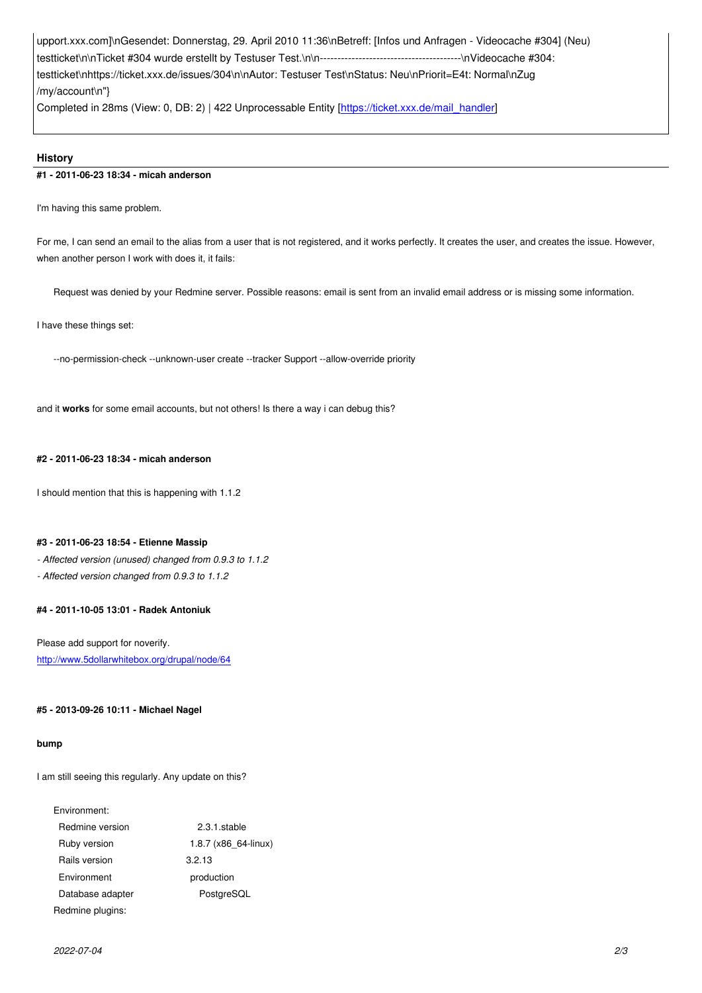testticket\n\nTicket #304 wurde erstellt by Testuser Test.\n\n----------------------------------------\nVideocache #304: testticket\nhttps://ticket.xxx.de/issues/304\n\nAutor: Testuser Test\nStatus: Neu\nPriorit=E4t: Normal\nZug /my/account\n"}

Completed in 28ms (View: 0, DB: 2) | 422 Unprocessable Entity [https://ticket.xxx.de/mail\_handler]

# **History**

# **#1 - 2011-06-23 18:34 - micah anderson**

I'm having this same problem.

For me, I can send an email to the alias from a user that is not registered, and it works perfectly. It creates the user, and creates the issue. However, when another person I work with does it, it fails:

Request was denied by your Redmine server. Possible reasons: email is sent from an invalid email address or is missing some information.

I have these things set:

--no-permission-check --unknown-user create --tracker Support --allow-override priority

and it **works** for some email accounts, but not others! Is there a way i can debug this?

# **#2 - 2011-06-23 18:34 - micah anderson**

I should mention that this is happening with 1.1.2

# **#3 - 2011-06-23 18:54 - Etienne Massip**

*- Affected version (unused) changed from 0.9.3 to 1.1.2*

*- Affected version changed from 0.9.3 to 1.1.2*

# **#4 - 2011-10-05 13:01 - Radek Antoniuk**

Please add support for noverify. http://www.5dollarwhitebox.org/drupal/node/64

# **[#5 - 2013-09-26 10:11 - Michael Nagel](http://www.5dollarwhitebox.org/drupal/node/64)**

#### **bump**

I am still seeing this regularly. Any update on this?

# Environment:

| Redmine version  | 2.3.1.stable           |  |
|------------------|------------------------|--|
| Ruby version     | $1.8.7$ (x86 64-linux) |  |
| Rails version    | 3.2.13                 |  |
| Environment      | production             |  |
| Database adapter | PostgreSQL             |  |
| Redmine plugins: |                        |  |